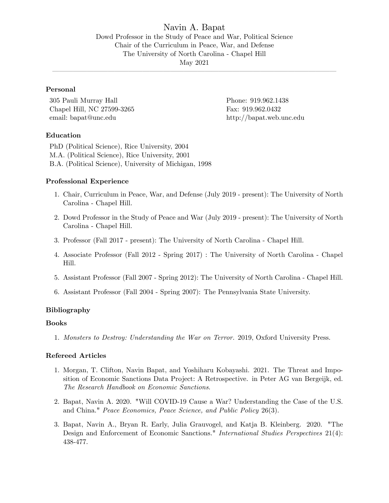Navin A. Bapat Dowd Professor in the Study of Peace and War, Political Science Chair of the Curriculum in Peace, War, and Defense The University of North Carolina - Chapel Hill May 2021

ó ó ó ó ó ó ó ó ó ó ó ó ó ó ó ó ó ó ó ó ó ó ó ó ó ó ó ó ó ó ó ó ó ó ó ó ó ó ó ó ó

# Personal

305 Pauli Murray Hall Phone: 919.962.1438 Chapel Hill, NC 27599-3265 Fax: 919.962.0432 email: bapat@unc.edu http://bapat.web.unc.edu

### Education

PhD (Political Science), Rice University, 2004 M.A. (Political Science), Rice University, 2001 B.A. (Political Science), University of Michigan, 1998

## Professional Experience

- 1. Chair, Curriculum in Peace, War, and Defense (July 2019 present): The University of North Carolina - Chapel Hill.
- 2. Dowd Professor in the Study of Peace and War (July 2019 present): The University of North Carolina - Chapel Hill.
- 3. Professor (Fall 2017 present): The University of North Carolina Chapel Hill.
- 4. Associate Professor (Fall 2012 Spring 2017) : The University of North Carolina Chapel Hill.
- 5. Assistant Professor (Fall 2007 Spring 2012): The University of North Carolina Chapel Hill.
- 6. Assistant Professor (Fall 2004 Spring 2007): The Pennsylvania State University.

### Bibliography

#### Books

1. Monsters to Destroy: Understanding the War on Terror. 2019, Oxford University Press.

## Refereed Articles

- 1. Morgan, T. Clifton, Navin Bapat, and Yoshiharu Kobayashi. 2021. The Threat and Imposition of Economic Sanctions Data Project: A Retrospective. in Peter AG van Bergeijk, ed. The Research Handbook on Economic Sanctions.
- 2. Bapat, Navin A. 2020. "Will COVID-19 Cause a War? Understanding the Case of the U.S. and China." Peace Economics, Peace Science, and Public Policy 26(3).
- 3. Bapat, Navin A., Bryan R. Early, Julia Grauvogel, and Katja B. Kleinberg. 2020. "The Design and Enforcement of Economic Sanctions." International Studies Perspectives 21(4): 438-477.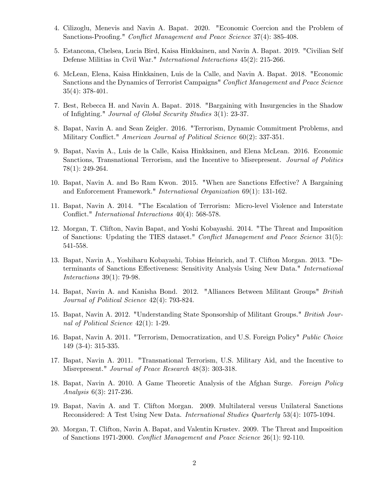- 4. Cilizoglu, Menevis and Navin A. Bapat. 2020. "Economic Coercion and the Problem of Sanctions-Proofing." Conflict Management and Peace Science 37(4): 385-408.
- 5. Estancona, Chelsea, Lucia Bird, Kaisa Hinkkainen, and Navin A. Bapat. 2019. "Civilian Self Defense Militias in Civil War." International Interactions 45(2): 215-266.
- 6. McLean, Elena, Kaisa Hinkkainen, Luis de la Calle, and Navin A. Bapat. 2018. "Economic Sanctions and the Dynamics of Terrorist Campaigns" Conflict Management and Peace Science 35(4): 378-401.
- 7. Best, Rebecca H. and Navin A. Bapat. 2018. "Bargaining with Insurgencies in the Shadow of Infighting." Journal of Global Security Studies 3(1): 23-37.
- 8. Bapat, Navin A. and Sean Zeigler. 2016. "Terrorism, Dynamic Commitment Problems, and Military Conflict." American Journal of Political Science 60(2): 337-351.
- 9. Bapat, Navin A., Luis de la Calle, Kaisa Hinkkainen, and Elena McLean. 2016. Economic Sanctions, Transnational Terrorism, and the Incentive to Misrepresent. Journal of Politics 78(1): 249-264.
- 10. Bapat, Navin A. and Bo Ram Kwon. 2015. "When are Sanctions Effective? A Bargaining and Enforcement Framework." International Organization 69(1): 131-162.
- 11. Bapat, Navin A. 2014. "The Escalation of Terrorism: Micro-level Violence and Interstate Conflict." *International Interactions* 40(4): 568-578.
- 12. Morgan, T. Clifton, Navin Bapat, and Yoshi Kobayashi. 2014. "The Threat and Imposition of Sanctions: Updating the TIES dataset." Conflict Management and Peace Science  $31(5)$ : 541-558.
- 13. Bapat, Navin A., Yoshiharu Kobayashi, Tobias Heinrich, and T. Clifton Morgan. 2013. "Determinants of Sanctions Effectiveness: Sensitivity Analysis Using New Data." International Interactions 39(1): 79-98.
- 14. Bapat, Navin A. and Kanisha Bond. 2012. "Alliances Between Militant Groups" British Journal of Political Science 42(4): 793-824.
- 15. Bapat, Navin A. 2012. "Understanding State Sponsorship of Militant Groups." British Journal of Political Science 42(1): 1-29.
- 16. Bapat, Navin A. 2011. "Terrorism, Democratization, and U.S. Foreign Policy" Public Choice 149 (3-4): 315-335.
- 17. Bapat, Navin A. 2011. "Transnational Terrorism, U.S. Military Aid, and the Incentive to Misrepresent." Journal of Peace Research 48(3): 303-318.
- 18. Bapat, Navin A. 2010. A Game Theoretic Analysis of the Afghan Surge. Foreign Policy Analysis 6(3): 217-236.
- 19. Bapat, Navin A. and T. Clifton Morgan. 2009. Multilateral versus Unilateral Sanctions Reconsidered: A Test Using New Data. International Studies Quarterly 53(4): 1075-1094.
- 20. Morgan, T. Clifton, Navin A. Bapat, and Valentin Krustev. 2009. The Threat and Imposition of Sanctions 1971-2000. Conáict Management and Peace Science 26(1): 92-110.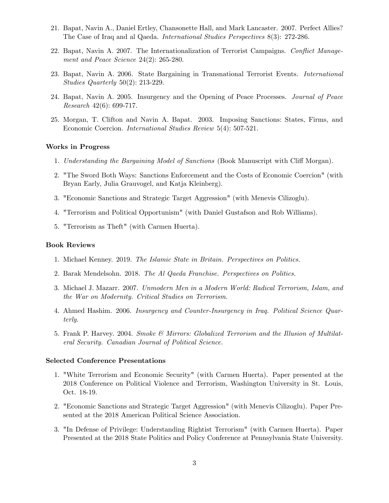- 21. Bapat, Navin A., Daniel Ertley, Chansonette Hall, and Mark Lancaster. 2007. Perfect Allies? The Case of Iraq and al Qaeda. International Studies Perspectives 8(3): 272-286.
- 22. Bapat, Navin A. 2007. The Internationalization of Terrorist Campaigns. Conflict Management and Peace Science 24(2): 265-280.
- 23. Bapat, Navin A. 2006. State Bargaining in Transnational Terrorist Events. International Studies Quarterly 50(2): 213-229.
- 24. Bapat, Navin A. 2005. Insurgency and the Opening of Peace Processes. Journal of Peace Research 42(6): 699-717.
- 25. Morgan, T. Clifton and Navin A. Bapat. 2003. Imposing Sanctions: States, Firms, and Economic Coercion. International Studies Review 5(4): 507-521.

#### Works in Progress

- 1. Understanding the Bargaining Model of Sanctions (Book Manuscript with Cliff Morgan).
- 2. "The Sword Both Ways: Sanctions Enforcement and the Costs of Economic Coercion" (with Bryan Early, Julia Grauvogel, and Katja Kleinberg).
- 3. "Economic Sanctions and Strategic Target Aggression" (with Menevis Cilizoglu).
- 4. "Terrorism and Political Opportunism" (with Daniel Gustafson and Rob Williams).
- 5. "Terrorism as Theft" (with Carmen Huerta).

## Book Reviews

- 1. Michael Kenney. 2019. The Islamic State in Britain. Perspectives on Politics.
- 2. Barak Mendelsohn. 2018. The Al Qaeda Franchise. Perspectives on Politics.
- 3. Michael J. Mazarr. 2007. Unmodern Men in a Modern World: Radical Terrorism, Islam, and the War on Modernity. Critical Studies on Terrorism.
- 4. Ahmed Hashim. 2006. Insurgency and Counter-Insurgency in Iraq. Political Science Quarterly.
- 5. Frank P. Harvey. 2004. Smoke & Mirrors: Globalized Terrorism and the Illusion of Multilateral Security. Canadian Journal of Political Science.

#### Selected Conference Presentations

- 1. "White Terrorism and Economic Security" (with Carmen Huerta). Paper presented at the 2018 Conference on Political Violence and Terrorism, Washington University in St. Louis, Oct. 18-19.
- 2. "Economic Sanctions and Strategic Target Aggression" (with Menevis Cilizoglu). Paper Presented at the 2018 American Political Science Association.
- 3. "In Defense of Privilege: Understanding Rightist Terrorism" (with Carmen Huerta). Paper Presented at the 2018 State Politics and Policy Conference at Pennsylvania State University.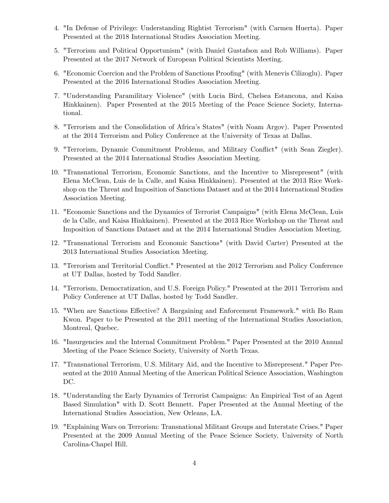- 4. "In Defense of Privilege: Understanding Rightist Terrorism" (with Carmen Huerta). Paper Presented at the 2018 International Studies Association Meeting.
- 5. "Terrorism and Political Opportunism" (with Daniel Gustafson and Rob Williams). Paper Presented at the 2017 Network of European Political Scientists Meeting.
- 6. "Economic Coercion and the Problem of Sanctions Proofing" (with Menevis Cilizoglu). Paper Presented at the 2016 International Studies Association Meeting.
- 7. "Understanding Paramilitary Violence" (with Lucia Bird, Chelsea Estancona, and Kaisa Hinkkainen). Paper Presented at the 2015 Meeting of the Peace Science Society, International.
- 8. "Terrorism and the Consolidation of Africaís States" (with Noam Argov). Paper Presented at the 2014 Terrorism and Policy Conference at the University of Texas at Dallas.
- 9. "Terrorism, Dynamic Commitment Problems, and Military Conáict" (with Sean Ziegler). Presented at the 2014 International Studies Association Meeting.
- 10. "Transnational Terrorism, Economic Sanctions, and the Incentive to Misrepresent" (with Elena McClean, Luis de la Calle, and Kaisa Hinkkainen). Presented at the 2013 Rice Workshop on the Threat and Imposition of Sanctions Dataset and at the 2014 International Studies Association Meeting.
- 11. "Economic Sanctions and the Dynamics of Terrorist Campaigns" (with Elena McClean, Luis de la Calle, and Kaisa Hinkkainen). Presented at the 2013 Rice Workshop on the Threat and Imposition of Sanctions Dataset and at the 2014 International Studies Association Meeting.
- 12. "Transnational Terrorism and Economic Sanctions" (with David Carter) Presented at the 2013 International Studies Association Meeting.
- 13. "Terrorism and Territorial Conflict." Presented at the 2012 Terrorism and Policy Conference at UT Dallas, hosted by Todd Sandler.
- 14. "Terrorism, Democratization, and U.S. Foreign Policy." Presented at the 2011 Terrorism and Policy Conference at UT Dallas, hosted by Todd Sandler.
- 15. "When are Sanctions Effective? A Bargaining and Enforcement Framework." with Bo Ram Kwon. Paper to be Presented at the 2011 meeting of the International Studies Association, Montreal, Quebec.
- 16. "Insurgencies and the Internal Commitment Problem." Paper Presented at the 2010 Annual Meeting of the Peace Science Society, University of North Texas.
- 17. "Transnational Terrorism, U.S. Military Aid, and the Incentive to Misrepresent." Paper Presented at the 2010 Annual Meeting of the American Political Science Association, Washington DC.
- 18. "Understanding the Early Dynamics of Terrorist Campaigns: An Empirical Test of an Agent Based Simulation" with D. Scott Bennett. Paper Presented at the Annual Meeting of the International Studies Association, New Orleans, LA.
- 19. "Explaining Wars on Terrorism: Transnational Militant Groups and Interstate Crises." Paper Presented at the 2009 Annual Meeting of the Peace Science Society, University of North Carolina-Chapel Hill.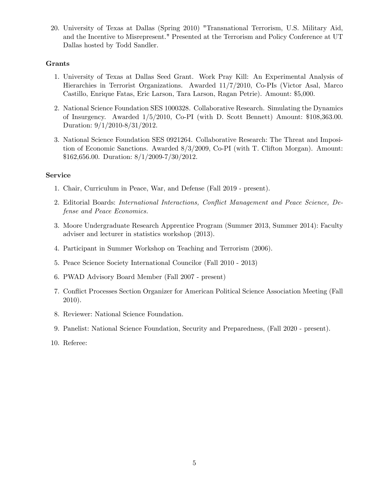20. University of Texas at Dallas (Spring 2010) "Transnational Terrorism, U.S. Military Aid, and the Incentive to Misrepresent." Presented at the Terrorism and Policy Conference at UT Dallas hosted by Todd Sandler.

# Grants

- 1. University of Texas at Dallas Seed Grant. Work Pray Kill: An Experimental Analysis of Hierarchies in Terrorist Organizations. Awarded 11/7/2010, Co-PIs (Victor Asal, Marco Castillo, Enrique Fatas, Eric Larson, Tara Larson, Ragan Petrie). Amount: \$5,000.
- 2. National Science Foundation SES 1000328. Collaborative Research. Simulating the Dynamics of Insurgency. Awarded 1/5/2010, Co-PI (with D. Scott Bennett) Amount: \$108,363.00. Duration: 9/1/2010-8/31/2012.
- 3. National Science Foundation SES 0921264. Collaborative Research: The Threat and Imposition of Economic Sanctions. Awarded 8/3/2009, Co-PI (with T. Clifton Morgan). Amount: \$162,656.00. Duration: 8/1/2009-7/30/2012.

# Service

- 1. Chair, Curriculum in Peace, War, and Defense (Fall 2019 present).
- 2. Editorial Boards: International Interactions, Conflict Management and Peace Science, Defense and Peace Economics.
- 3. Moore Undergraduate Research Apprentice Program (Summer 2013, Summer 2014): Faculty adviser and lecturer in statistics workshop (2013).
- 4. Participant in Summer Workshop on Teaching and Terrorism (2006).
- 5. Peace Science Society International Councilor (Fall 2010 2013)
- 6. PWAD Advisory Board Member (Fall 2007 present)
- 7. Conáict Processes Section Organizer for American Political Science Association Meeting (Fall 2010).
- 8. Reviewer: National Science Foundation.
- 9. Panelist: National Science Foundation, Security and Preparedness, (Fall 2020 present).
- 10. Referee: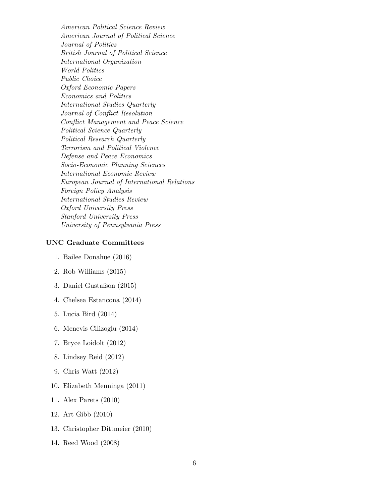American Political Science Review American Journal of Political Science Journal of Politics British Journal of Political Science International Organization World Politics Public Choice Oxford Economic Papers Economics and Politics International Studies Quarterly Journal of Conflict Resolution Conflict Management and Peace Science Political Science Quarterly Political Research Quarterly Terrorism and Political Violence Defense and Peace Economics Socio-Economic Planning Sciences International Economic Review European Journal of International Relations Foreign Policy Analysis International Studies Review Oxford University Press Stanford University Press University of Pennsylvania Press

## UNC Graduate Committees

- 1. Bailee Donahue (2016)
- 2. Rob Williams (2015)
- 3. Daniel Gustafson (2015)
- 4. Chelsea Estancona (2014)
- 5. Lucia Bird (2014)
- 6. Menevis Cilizoglu (2014)
- 7. Bryce Loidolt (2012)
- 8. Lindsey Reid (2012)
- 9. Chris Watt (2012)
- 10. Elizabeth Menninga (2011)
- 11. Alex Parets (2010)
- 12. Art Gibb (2010)
- 13. Christopher Dittmeier (2010)
- 14. Reed Wood (2008)